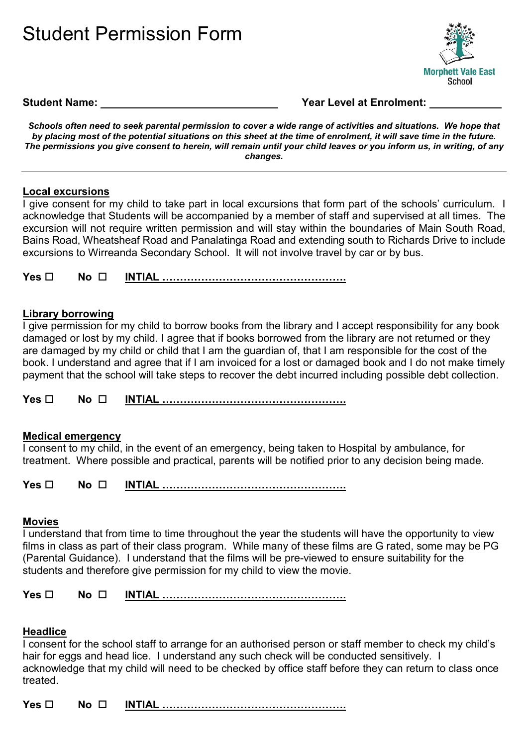



#### **Student Name: Year Level at Enrolment:**

*Schools often need to seek parental permission to cover a wide range of activities and situations. We hope that by placing most of the potential situations on this sheet at the time of enrolment, it will save time in the future. The permissions you give consent to herein, will remain until your child leaves or you inform us, in writing, of any changes.* 

### **Local excursions**

I give consent for my child to take part in local excursions that form part of the schools' curriculum. I acknowledge that Students will be accompanied by a member of staff and supervised at all times. The excursion will not require written permission and will stay within the boundaries of Main South Road, Bains Road, Wheatsheaf Road and Panalatinga Road and extending south to Richards Drive to include excursions to Wirreanda Secondary School. It will not involve travel by car or by bus.

**Yes No INTIAL …………………………………………….**

## **Library borrowing**

I give permission for my child to borrow books from the library and I accept responsibility for any book damaged or lost by my child. I agree that if books borrowed from the library are not returned or they are damaged by my child or child that I am the guardian of, that I am responsible for the cost of the book. I understand and agree that if I am invoiced for a lost or damaged book and I do not make timely payment that the school will take steps to recover the debt incurred including possible debt collection.

**Yes No INTIAL …………………………………………….**

### **Medical emergency**

I consent to my child, in the event of an emergency, being taken to Hospital by ambulance, for treatment. Where possible and practical, parents will be notified prior to any decision being made.

**Yes □ No □ INTIAL …………………………………………………** 

### **Movies**

I understand that from time to time throughout the year the students will have the opportunity to view films in class as part of their class program. While many of these films are G rated, some may be PG (Parental Guidance). I understand that the films will be pre-viewed to ensure suitability for the students and therefore give permission for my child to view the movie.

**Yes No INTIAL …………………………………………….**

### **Headlice**

I consent for the school staff to arrange for an authorised person or staff member to check my child's hair for eggs and head lice. I understand any such check will be conducted sensitively. I acknowledge that my child will need to be checked by office staff before they can return to class once treated.

**Yes No INTIAL …………………………………………….**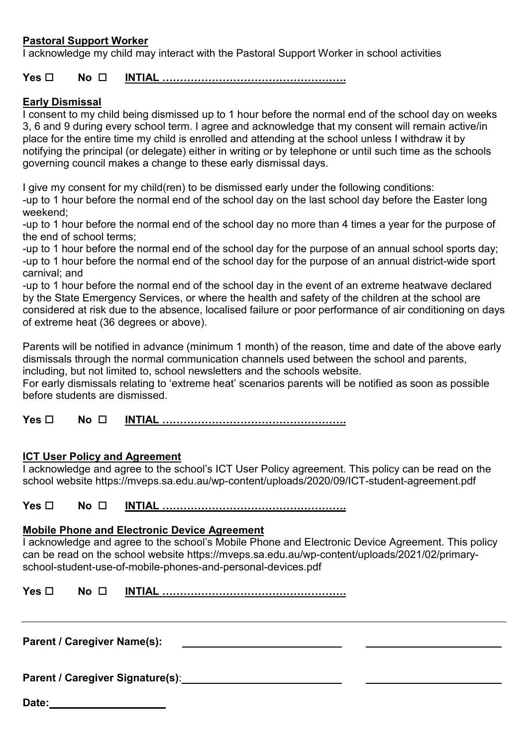# **Pastoral Support Worker**

I acknowledge my child may interact with the Pastoral Support Worker in school activities

# **Yes □ No □ <u>INTIAL ……………………………………………</u>**

## **Early Dismissal**

I consent to my child being dismissed up to 1 hour before the normal end of the school day on weeks 3, 6 and 9 during every school term. I agree and acknowledge that my consent will remain active/in place for the entire time my child is enrolled and attending at the school unless I withdraw it by notifying the principal (or delegate) either in writing or by telephone or until such time as the schools governing council makes a change to these early dismissal days.

I give my consent for my child(ren) to be dismissed early under the following conditions:

-up to 1 hour before the normal end of the school day on the last school day before the Easter long weekend;

-up to 1 hour before the normal end of the school day no more than 4 times a year for the purpose of the end of school terms;

-up to 1 hour before the normal end of the school day for the purpose of an annual school sports day; -up to 1 hour before the normal end of the school day for the purpose of an annual district-wide sport carnival; and

-up to 1 hour before the normal end of the school day in the event of an extreme heatwave declared by the State Emergency Services, or where the health and safety of the children at the school are considered at risk due to the absence, localised failure or poor performance of air conditioning on days of extreme heat (36 degrees or above).

Parents will be notified in advance (minimum 1 month) of the reason, time and date of the above early dismissals through the normal communication channels used between the school and parents, including, but not limited to, school newsletters and the schools website.

For early dismissals relating to 'extreme heat' scenarios parents will be notified as soon as possible before students are dismissed.

**Yes □** No □ INTI<u>AL ……………………………………………</u>

### **ICT User Policy and Agreement**

I acknowledge and agree to the school's ICT User Policy agreement. This policy can be read on the school website https://mveps.sa.edu.au/wp-content/uploads/2020/09/ICT-student-agreement.pdf

**Yes □ No □ INTIAL …………………………………………………** 

### **Mobile Phone and Electronic Device Agreement**

I acknowledge and agree to the school's Mobile Phone and Electronic Device Agreement. This policy can be read on the school website https://mveps.sa.edu.au/wp-content/uploads/2021/02/primaryschool-student-use-of-mobile-phones-and-personal-devices.pdf

**Yes □ No □ INTIAL …………………………………………………** 

**Parent / Caregiver Name(s):** 

**Parent / Caregiver Signature(s)**:

**Date:**